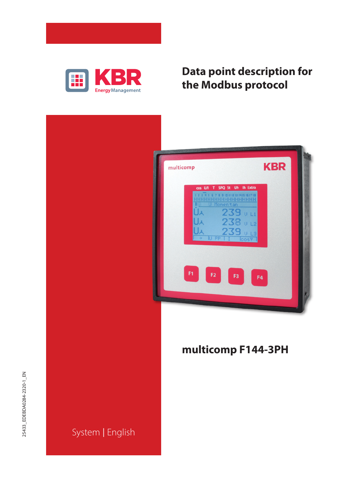

# **Data point description for the Modbus protocol**

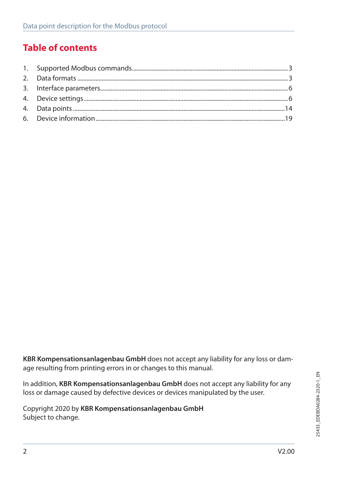## **Table of contents**

**KBR Kompensationsanlagenbau GmbH** does not accept any liability for any loss or damage resulting from printing errors in or changes to this manual.

In addition, **KBR Kompensationsanlagenbau GmbH** does not accept any liability for any loss or damage caused by defective devices or devices manipulated by the user.

Copyright 2020 by **KBR Kompensationsanlagenbau GmbH** Subject to change.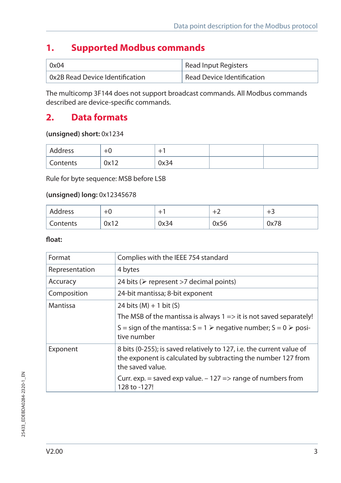### **1. Supported Modbus commands**

| 0x04                                       | Read Input Registers       |
|--------------------------------------------|----------------------------|
| $^{\circ}$ 0x2B Read Device Identification | Read Device Identification |

The multicomp 3F144 does not support broadcast commands. All Modbus commands described are device-specific commands.

### **2. Data formats**

#### **(unsigned) short:** 0x1234

| Address  | $+6$ |      |  |
|----------|------|------|--|
| Contents | 0x12 | 0x34 |  |

Rule for byte sequence: MSB before LSB

#### **(unsigned) long:** 0x12345678

| Address  | $+6$ |      |      | -    |
|----------|------|------|------|------|
| Contents | 0x12 | 0x34 | 0x56 | 0x78 |

#### **float:**

| Format                                         | Complies with the IEEE 754 standard                                                                                                                        |  |  |
|------------------------------------------------|------------------------------------------------------------------------------------------------------------------------------------------------------------|--|--|
| Representation                                 | 4 bytes                                                                                                                                                    |  |  |
| Accuracy                                       | 24 bits ( $\triangleright$ represent >7 decimal points)                                                                                                    |  |  |
| 24-bit mantissa; 8-bit exponent<br>Composition |                                                                                                                                                            |  |  |
| Mantissa                                       | 24 bits $(M) + 1$ bit $(S)$                                                                                                                                |  |  |
|                                                | The MSB of the mantissa is always $1 \Rightarrow$ it is not saved separately!                                                                              |  |  |
|                                                | S = sign of the mantissa: $S = 1$ $\triangleright$ negative number; $S = 0$ $\triangleright$ posi-<br>tive number                                          |  |  |
| Exponent                                       | 8 bits (0-255); is saved relatively to 127, i.e. the current value of<br>the exponent is calculated by subtracting the number 127 from<br>the saved value. |  |  |
|                                                | Curr. exp. = saved exp value. $-127 \Rightarrow$ range of numbers from<br>128 to -127!                                                                     |  |  |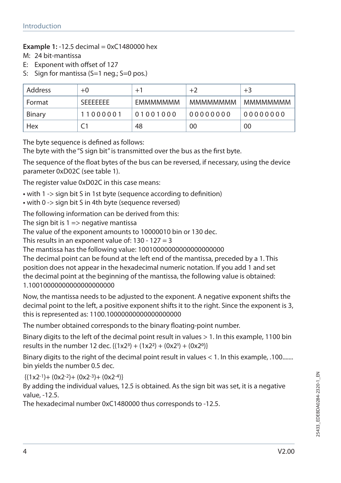#### **Example 1:** -12.5 decimal = 0xC1480000 hex

M: 24 bit-mantissa

- E: Exponent with offset of 127
- S: Sign for mantissa (S=1 neg.; S=0 pos.)

| Address | $+0$             | $+1$            | $+2$            | $+3$     |
|---------|------------------|-----------------|-----------------|----------|
| Format  | <b>SFFFFFFFF</b> | <b>FMMMMMMM</b> | <b>MMMMMMMM</b> | MMMMMMMM |
| Binary  | 11000001         | 01001000        | 00000000        | 00000000 |
| Hex     |                  | 48              | 00              | 00       |

The byte sequence is defined as follows:

The byte with the "S sign bit" is transmitted over the bus as the first byte.

The sequence of the float bytes of the bus can be reversed, if necessary, using the device parameter 0xD02C (see table 1).

The register value 0xD02C in this case means:

- **•** with 1 -> sign bit S in 1st byte (sequence according to definition)
- **•** with 0 -> sign bit S in 4th byte (sequence reversed)

The following information can be derived from this:

The sign bit is  $1 \Rightarrow$  negative mantissa

The value of the exponent amounts to 10000010 bin or 130 dec.

This results in an exponent value of:  $130 - 127 = 3$ 

The mantissa has the following value: 10010000000000000000000

The decimal point can be found at the left end of the mantissa, preceded by a 1. This position does not appear in the hexadecimal numeric notation. If you add 1 and set the decimal point at the beginning of the mantissa, the following value is obtained: 1.10010000000000000000000

Now, the mantissa needs to be adjusted to the exponent. A negative exponent shifts the decimal point to the left, a positive exponent shifts it to the right. Since the exponent is 3, this is represented as: 1100.10000000000000000000

The number obtained corresponds to the binary floating-point number.

Binary digits to the left of the decimal point result in values > 1. In this example, 1100 bin results in the number 12 dec.  ${(1x2^3) + (1x2^2) + (0x2^1) + (0x2^0)}$ 

Binary digits to the right of the decimal point result in values < 1. In this example, .100....... bin yields the number 0.5 dec.

 ${(1x2<sup>-1</sup>)+(0x2<sup>-2</sup>)+(0x2<sup>-3</sup>)+(0x2<sup>-4</sup>)}$ 

By adding the individual values, 12.5 is obtained. As the sign bit was set, it is a negative value, -12.5.

The hexadecimal number 0xC1480000 thus corresponds to -12.5.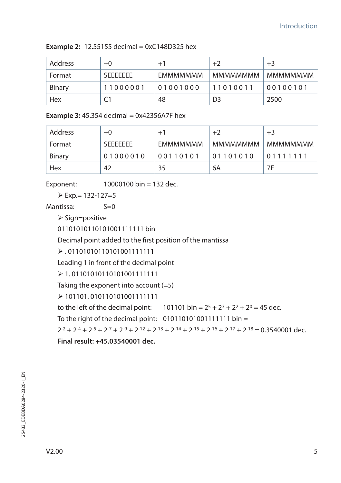**Example 2: -12.55155 decimal = 0xC148D325 hex** 

| Address | $+0$             | $+1$            | $+2$            | $+3$     |
|---------|------------------|-----------------|-----------------|----------|
| Format  | <b>SFFFFFFFF</b> | <b>FMMMMMMM</b> | <b>MMMMMMMM</b> | MMMMMMMM |
| Binary  | 11000001         | 01001000        | 11010011        | 00100101 |
| Hex     |                  | 48              | D <sub>3</sub>  | 2500     |

**Example 3:** 45.354 decimal = 0x42356A7F hex

| Address | $+0$             | $+1$            | $+2$            | $+3$     |
|---------|------------------|-----------------|-----------------|----------|
| Format  | <b>SFFFFFFFF</b> | <b>EMMMMMMM</b> | <b>MMMMMMMM</b> | мммммммм |
| Binary  | 01000010         | 00110101        | 01101010        | 01111111 |
| Hex     | 42               | 35              | 6A              | 7F       |

Exponent: 10000100 bin = 132 dec.

 $\triangleright$  Exp.= 132-127=5

Mantissa: S=0

 $\triangleright$  Sign=positive

0110101011010001111111 bin

Decimal point added to the first position of the mantissa

 . 01101010110101001111111

Leading 1 in front of the decimal point

 $\geq 1.01101010110101001111111$ 

Taking the exponent into account (=5)

 101101. 010110101001111111

to the left of the decimal point:  $101101 \text{ bin} = 2^5 + 2^3 + 2^2 + 2^0 = 45 \text{ dec.}$ 

To the right of the decimal point:  $010110101001111111$  bin =

 $2^{-2} + 2^{-4} + 2^{-5} + 2^{-7} + 2^{-9} + 2^{-12} + 2^{-13} + 2^{-14} + 2^{-15} + 2^{-16} + 2^{-17} + 2^{-18} = 0.3540001$  dec.

**Final result: +45.03540001 dec.**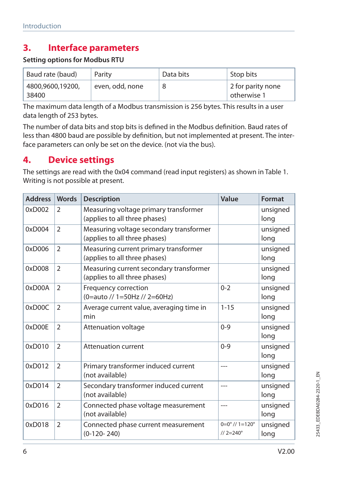### **3. Interface parameters**

#### **Setting options for Modbus RTU**

| Baud rate (baud)          | Parity          | Data bits | Stop bits                        |
|---------------------------|-----------------|-----------|----------------------------------|
| 4800,9600,19200,<br>38400 | even, odd, none |           | 2 for parity none<br>otherwise 1 |

The maximum data length of a Modbus transmission is 256 bytes. This results in a user data length of 253 bytes.

The number of data bits and stop bits is defined in the Modbus definition. Baud rates of less than 4800 baud are possible by definition, but not implemented at present. The interface parameters can only be set on the device. (not via the bus).

### **4. Device settings**

The settings are read with the 0x04 command (read input registers) as shown in Table 1. Writing is not possible at present.

| <b>Address</b> | <b>Words</b>   | <b>Description</b>                                                       | Value                                                 | Format           |
|----------------|----------------|--------------------------------------------------------------------------|-------------------------------------------------------|------------------|
| 0xD002         | $\mathcal{P}$  | Measuring voltage primary transformer<br>(applies to all three phases)   |                                                       | unsigned<br>long |
| 0xD004         | $\overline{2}$ | Measuring voltage secondary transformer<br>(applies to all three phases) |                                                       | unsigned<br>long |
| 0xD006         | $\mathfrak{D}$ | Measuring current primary transformer<br>(applies to all three phases)   |                                                       | unsigned<br>long |
| 0xD008         | $\overline{2}$ | Measuring current secondary transformer<br>(applies to all three phases) |                                                       | unsigned<br>long |
| $0x$ D $00A$   | $\mathfrak{D}$ | Frequency correction<br>(0=auto // 1=50Hz // 2=60Hz)                     | $0 - 2$                                               | unsigned<br>long |
| 0xD00C         | $\overline{2}$ | Average current value, averaging time in<br>min                          | $1 - 15$                                              | unsigned<br>long |
| 0xD00E         | $\overline{2}$ | Attenuation voltage                                                      | $0 - 9$                                               | unsigned<br>long |
| 0xD010         | $\overline{2}$ | <b>Attenuation current</b>                                               | $0 - 9$                                               | unsigned<br>long |
| 0xD012         | $\overline{2}$ | Primary transformer induced current<br>(not available)                   | ---                                                   | unsigned<br>long |
| 0xD014         | $\overline{2}$ | Secondary transformer induced current<br>(not available)                 | $---$                                                 | unsigned<br>long |
| 0xD016         | $\overline{2}$ | Connected phase voltage measurement<br>(not available)                   | ---                                                   | unsigned<br>long |
| 0xD018         | $\overline{2}$ | Connected phase current measurement<br>$(0-120-240)$                     | $0=0^{\circ}$ // $1=120^{\circ}$<br>$1/2 = 240^\circ$ | unsigned<br>long |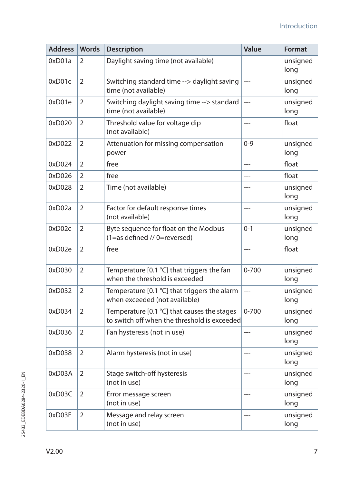| <b>Address</b> | <b>Words</b>   | <b>Description</b>                                                                          | Value          | Format           |
|----------------|----------------|---------------------------------------------------------------------------------------------|----------------|------------------|
| 0xD01a         | 2              | Daylight saving time (not available)                                                        |                | unsigned<br>long |
| 0xD01c         | 2              | Switching standard time --> daylight saving<br>time (not available)                         | $\overline{a}$ | unsigned<br>long |
| 0xD01e         | 2              | Switching daylight saving time --> standard<br>time (not available)                         | $---$          | unsigned<br>long |
| 0xD020         | $\overline{2}$ | Threshold value for voltage dip<br>(not available)                                          | $---$          | float            |
| 0xD022         | $\overline{2}$ | Attenuation for missing compensation<br>power                                               | $0 - 9$        | unsigned<br>long |
| 0xD024         | 2              | free                                                                                        | $---$          | float            |
| 0xD026         | 2              | free                                                                                        | $---$          | float            |
| 0xD028         | 2              | Time (not available)                                                                        | $\overline{a}$ | unsigned<br>long |
| 0xD02a         | $\overline{2}$ | Factor for default response times<br>(not available)                                        | $\overline{a}$ | unsigned<br>long |
| 0xD02c         | $\overline{2}$ | Byte sequence for float on the Modbus<br>(1=as defined // 0=reversed)                       | $0 - 1$        | unsigned<br>long |
| 0xD02e         | $\overline{2}$ | free                                                                                        | $---$          | float            |
| 0xD030         | $\overline{2}$ | Temperature [0.1 °C] that triggers the fan<br>when the threshold is exceeded                | $0 - 700$      | unsigned<br>long |
| 0xD032         | 2              | Temperature [0.1 °C] that triggers the alarm<br>when exceeded (not available)               | $---$          | unsigned<br>long |
| 0xD034         | $\overline{2}$ | Temperature [0.1 °C] that causes the stages<br>to switch off when the threshold is exceeded | $0 - 700$      | unsigned<br>long |
| 0xD036         | $\overline{2}$ | Fan hysteresis (not in use)                                                                 | $---$          | unsigned<br>long |
| 0xD038         | $\overline{2}$ | Alarm hysteresis (not in use)                                                               | ---            | unsigned<br>long |
| 0xD03A         | $\mathfrak{D}$ | Stage switch-off hysteresis<br>(not in use)                                                 | ---            | unsigned<br>long |
| 0xD03C         | $\overline{2}$ | Error message screen<br>(not in use)                                                        | $---$          | unsigned<br>long |
| 0xD03E         | $\overline{2}$ | Message and relay screen<br>(not in use)                                                    | $---$          | unsigned<br>long |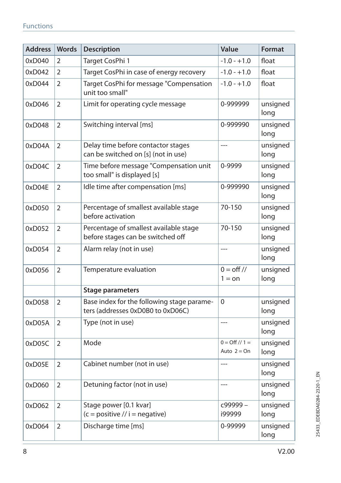| <b>Address</b> | <b>Words</b>   | Description                                                                     | Value                                  | <b>Format</b>    |
|----------------|----------------|---------------------------------------------------------------------------------|----------------------------------------|------------------|
| 0xD040         | 2              | Target CosPhi 1                                                                 | $-1.0 - +1.0$                          | float            |
| 0xD042         | $\overline{2}$ | Target CosPhi in case of energy recovery                                        | $-1.0 - +1.0$                          | float            |
| 0xD044         | 2              | Target CosPhi for message "Compensation<br>unit too small"                      | $-1.0 - +1.0$                          | float            |
| 0xD046         | 2              | Limit for operating cycle message                                               | 0-999999                               | unsigned<br>long |
| 0xD048         | 2              | Switching interval [ms]                                                         | 0-999990                               | unsigned<br>long |
| 0xD04A         | $\overline{2}$ | Delay time before contactor stages<br>can be switched on [s] (not in use)       | $---$                                  | unsigned<br>long |
| 0xD04C         | $\overline{2}$ | Time before message "Compensation unit<br>too small" is displayed [s]           | 0-9999                                 | unsigned<br>long |
| 0xD04E         | 2              | Idle time after compensation [ms]                                               | 0-999990                               | unsigned<br>long |
| 0xD050         | $\overline{2}$ | Percentage of smallest available stage<br>before activation                     | 70-150                                 | unsigned<br>long |
| 0xD052         | $\overline{2}$ | Percentage of smallest available stage<br>before stages can be switched off     | 70-150                                 | unsigned<br>long |
| 0xD054         | $\overline{2}$ | Alarm relay (not in use)                                                        | $---$                                  | unsigned<br>long |
| 0xD056         | $\overline{2}$ | Temperature evaluation                                                          | $0 = \text{off }$ //<br>$1 =$ on       | unsigned<br>long |
|                |                | <b>Stage parameters</b>                                                         |                                        |                  |
| 0xD058         | $\overline{2}$ | Base index for the following stage parame-<br>ters (addresses 0xD0B0 to 0xD06C) | $\Omega$                               | unsigned<br>long |
| 0xD05A         | $\overline{2}$ | Type (not in use)                                                               | $---$                                  | unsigned<br>long |
| 0xD05C         | $\overline{2}$ | Mode                                                                            | $0 = \frac{Off}{1} =$<br>Auto $2 = On$ | unsigned<br>long |
| 0xD05E         | 2              | Cabinet number (not in use)                                                     | $---$                                  | unsigned<br>long |
| 0xD060         | 2              | Detuning factor (not in use)                                                    | $---$                                  | unsigned<br>long |
| 0xD062         | 2              | Stage power [0.1 kvar]<br>$(c = positive / i = negative)$                       | c99999-<br>i99999                      | unsigned<br>long |
| 0xD064         | $\overline{2}$ | Discharge time [ms]                                                             | 0-99999                                | unsigned<br>long |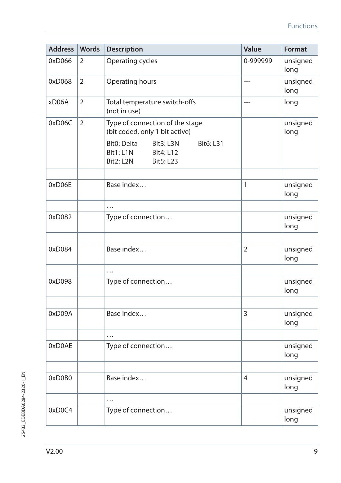| <b>Address</b> | <b>Words</b>   | <b>Description</b>                                                                                      | Value          | Format           |
|----------------|----------------|---------------------------------------------------------------------------------------------------------|----------------|------------------|
| 0xD066         | 2              | Operating cycles                                                                                        | 0-999999       | unsigned<br>long |
| 0xD068         | $\overline{2}$ | Operating hours                                                                                         | $---$          | unsigned<br>long |
| xD06A          | $\overline{2}$ | Total temperature switch-offs<br>(not in use)                                                           | $---$          | long             |
| 0xD06C         | $\overline{2}$ | Type of connection of the stage<br>(bit coded, only 1 bit active)                                       |                | unsigned<br>long |
|                |                | Bit0: Delta<br>Bit3: L3N<br><b>Bit6: L31</b><br>Bit1: L1N<br>Bit4: L12<br>Bit2: L2N<br><b>Bit5: L23</b> |                |                  |
| 0xD06E         |                | Base index                                                                                              | 1              | unsigned<br>long |
|                |                | .                                                                                                       |                |                  |
| 0xD082         |                | Type of connection                                                                                      |                | unsigned<br>long |
| 0xD084         |                | Base index                                                                                              | $\overline{2}$ | unsigned<br>long |
|                |                | $\cdots$                                                                                                |                |                  |
| 0xD098         |                | Type of connection                                                                                      |                | unsigned<br>long |
| 0xD09A         |                | Base index                                                                                              | 3              | unsigned<br>long |
|                |                | .                                                                                                       |                |                  |
| 0xD0AE         |                | Type of connection                                                                                      |                | unsigned<br>long |
| 0xD0B0         |                | Base index                                                                                              | 4              | unsigned<br>long |
|                |                | .                                                                                                       |                |                  |
| 0xD0C4         |                | Type of connection                                                                                      |                | unsigned<br>long |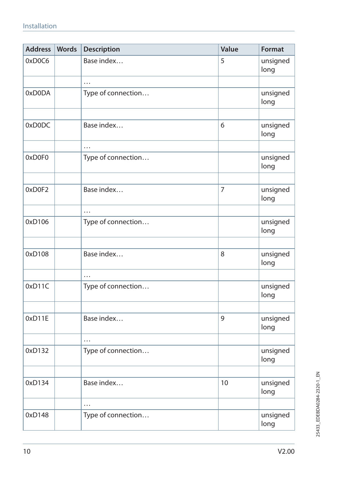| <b>Address</b> | <b>Words</b> | <b>Description</b> | Value          | Format           |
|----------------|--------------|--------------------|----------------|------------------|
| 0xD0C6         |              | Base index         | 5              | unsigned<br>long |
|                |              | .                  |                |                  |
| 0xD0DA         |              | Type of connection |                | unsigned<br>long |
|                |              |                    |                |                  |
| 0xD0DC         |              | Base index         | 6              | unsigned<br>long |
|                |              | .                  |                |                  |
| 0xD0F0         |              | Type of connection |                | unsigned<br>long |
|                |              |                    |                |                  |
| 0xD0F2         |              | Base index         | $\overline{7}$ | unsigned<br>long |
|                |              | .                  |                |                  |
| 0xD106         |              | Type of connection |                | unsigned<br>long |
|                |              |                    |                |                  |
| 0xD108         |              | Base index         | 8              | unsigned<br>long |
|                |              | .                  |                |                  |
| 0xD11C         |              | Type of connection |                | unsigned<br>long |
|                |              |                    |                |                  |
| 0xD11E         |              | Base index         | 9              | unsigned<br>long |
|                |              | $\ddotsc$          |                |                  |
| 0xD132         |              | Type of connection |                | unsigned<br>long |
|                |              |                    |                |                  |
| 0xD134         |              | Base index         | 10             | unsigned<br>long |
|                |              | .                  |                |                  |
| 0xD148         |              | Type of connection |                | unsigned<br>long |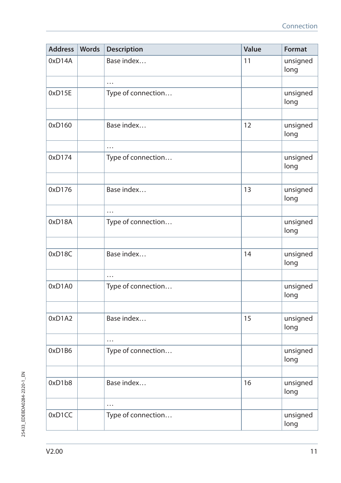| <b>Address</b> | Words | Description        | Value | Format           |
|----------------|-------|--------------------|-------|------------------|
| 0xD14A         |       | Base index         | 11    | unsigned<br>long |
|                |       | .                  |       |                  |
| 0xD15E         |       | Type of connection |       | unsigned<br>long |
|                |       |                    |       |                  |
| 0xD160         |       | Base index         | 12    | unsigned<br>long |
|                |       | .                  |       |                  |
| 0xD174         |       | Type of connection |       | unsigned<br>long |
|                |       |                    |       |                  |
| 0xD176         |       | Base index         | 13    | unsigned<br>long |
|                |       | $\cdots$           |       |                  |
| 0xD18A         |       | Type of connection |       | unsigned<br>long |
|                |       |                    |       |                  |
| 0xD18C         |       | Base index         | 14    | unsigned<br>long |
|                |       | .                  |       |                  |
| 0xD1A0         |       | Type of connection |       | unsigned<br>long |
|                |       |                    |       |                  |
| 0xD1A2         |       | Base index         | 15    | unsigned<br>long |
|                |       | .                  |       |                  |
| 0xD1B6         |       | Type of connection |       | unsigned<br>long |
|                |       |                    |       |                  |
| 0xD1b8         |       | Base index         | 16    | unsigned<br>long |
|                |       | .                  |       |                  |
| 0xD1CC         |       | Type of connection |       | unsigned<br>long |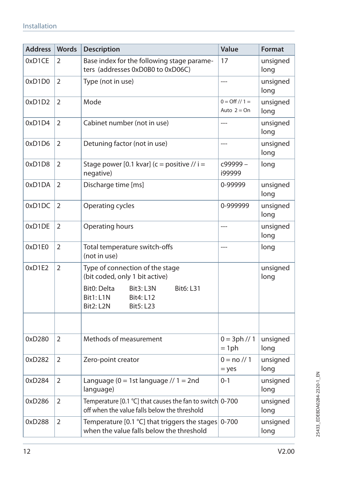| <b>Address</b> | <b>Words</b>   | <b>Description</b>                                                                                                    | Value                                  | Format           |
|----------------|----------------|-----------------------------------------------------------------------------------------------------------------------|----------------------------------------|------------------|
| 0xD1CE         | 2              | Base index for the following stage parame-<br>ters (addresses 0xD0B0 to 0xD06C)                                       | 17                                     | unsigned<br>long |
| 0xD1D0         | $\overline{2}$ | Type (not in use)                                                                                                     | $\overline{a}$                         | unsigned<br>long |
| 0xD1D2         | 2              | Mode                                                                                                                  | $0 = \frac{Off}{1} =$<br>Auto $2 = On$ | unsigned<br>long |
| 0xD1D4         | 2              | Cabinet number (not in use)                                                                                           | $---$                                  | unsigned<br>long |
| 0xD1D6         | $\overline{2}$ | Detuning factor (not in use)                                                                                          | $\overline{a}$                         | unsigned<br>long |
| 0xD1D8         | $\overline{2}$ | Stage power [0.1 kvar] (c = positive // i =<br>negative)                                                              | c99999-<br>i99999                      | long             |
| 0xD1DA         | $\overline{2}$ | Discharge time [ms]                                                                                                   | 0-99999                                | unsigned<br>long |
| 0xD1DC         | $\overline{2}$ | Operating cycles                                                                                                      | 0-999999                               | unsigned<br>long |
| 0xD1DE         | $\overline{2}$ | Operating hours                                                                                                       | $---$                                  | unsigned<br>long |
| 0xD1E0         | 2              | Total temperature switch-offs<br>(not in use)                                                                         | $\overline{a}$                         | long             |
| 0xD1E2         | $\overline{2}$ | Type of connection of the stage<br>(bit coded, only 1 bit active)                                                     |                                        | unsigned<br>long |
|                |                | Bit0: Delta<br><b>Bit6: L31</b><br>Bit3: L3N<br>Bit1: L1N<br><b>Bit4: L12</b><br><b>Bit2: L2N</b><br><b>Bit5: L23</b> |                                        |                  |
|                |                |                                                                                                                       |                                        |                  |
| 0xD280         | 2              | Methods of measurement                                                                                                | $0 = 3ph // 1$<br>$= 1ph$              | unsigned<br>long |
| 0xD282         | 2              | Zero-point creator                                                                                                    | $0 = \frac{\pi}{1}$<br>$=$ yes         | unsigned<br>long |
| 0xD284         | 2              | Language ( $0 = 1$ st language // $1 = 2$ nd<br>language)                                                             | $0 - 1$                                | unsigned<br>long |
| 0xD286         | 2              | Temperature [0.1 °C] that causes the fan to switch 0-700<br>off when the value falls below the threshold              |                                        | unsigned<br>long |
| 0xD288         | 2              | Temperature [0.1 $°C$ ] that triggers the stages<br>when the value falls below the threshold                          | $0 - 700$                              | unsigned<br>long |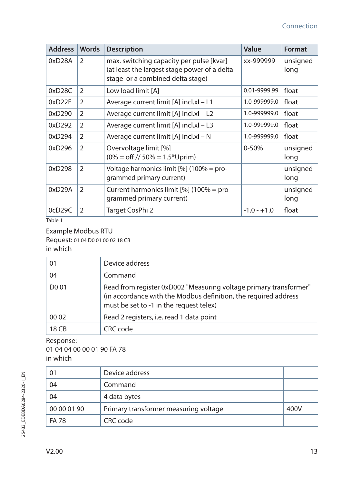| <b>Address</b> | <b>Words</b>   | <b>Description</b>                                                                                                           | Value         | Format           |
|----------------|----------------|------------------------------------------------------------------------------------------------------------------------------|---------------|------------------|
| 0xD28A         | $\mathcal{P}$  | max. switching capacity per pulse [kvar]<br>(at least the largest stage power of a delta<br>stage or a combined delta stage) | xx-999999     | unsigned<br>long |
| 0xD28C         | 2              | Low load limit [A]                                                                                                           | 0.01-9999.99  | float            |
| 0xD22E         | 2              | Average current limit [A] incl.xl - L1                                                                                       | 1.0-999999.0  | float            |
| 0xD290         | $\mathcal{P}$  | Average current limit [A] incl.xl - L2                                                                                       | 1.0-999999.0  | float            |
| 0xD292         | $\mathcal{P}$  | Average current limit [A] incl.xl - L3                                                                                       | 1.0-999999.0  | float            |
| 0xD294         | $\mathcal{P}$  | Average current limit [A] incl.xl - N                                                                                        | 1.0-999999.0  | float            |
| 0xD296         | $\mathcal{P}$  | Overvoltage limit [%]<br>$(0\% = \text{off}$ // 50% = 1.5*Uprim)                                                             | $0 - 50%$     | unsigned<br>long |
| 0xD298         | $\mathcal{P}$  | Voltage harmonics limit $[\%]$ (100% = pro-<br>grammed primary current)                                                      |               | unsigned<br>long |
| 0xD29A         | $\mathfrak{D}$ | Current harmonics limit [%] (100% = pro-<br>grammed primary current)                                                         |               | unsigned<br>long |
| 0cD29C         | $\overline{2}$ | Target CosPhi 2                                                                                                              | $-1.0 - +1.0$ | float            |

Table 1

Example Modbus RTU Request: 01 04 D0 01 00 02 18 CB in which

| 01                | Device address                                                                                                                                                                  |
|-------------------|---------------------------------------------------------------------------------------------------------------------------------------------------------------------------------|
| 04                | Command                                                                                                                                                                         |
| D <sub>0</sub> 01 | Read from register 0xD002 "Measuring voltage primary transformer"<br>(in accordance with the Modbus definition, the required address<br>must be set to -1 in the request telex) |
| 00 02             | Read 2 registers, i.e. read 1 data point                                                                                                                                        |
| <b>18 CB</b>      | CRC code                                                                                                                                                                        |

#### Response:

01 04 04 00 00 01 90 FA 78 in which

| 01          | Device address                        |      |
|-------------|---------------------------------------|------|
| 04          | Command                               |      |
| 04          | 4 data bytes                          |      |
| 00 00 01 90 | Primary transformer measuring voltage | 400V |
| FA 78       | CRC code                              |      |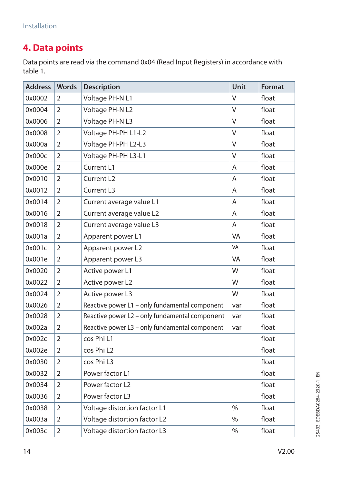### **4. Data points**

Data points are read via the command 0x04 (Read Input Registers) in accordance with table 1.

| <b>Address</b> | <b>Words</b>   | <b>Description</b>                             | Unit          | Format |
|----------------|----------------|------------------------------------------------|---------------|--------|
| 0x0002         | 2              | Voltage PH-N L1                                | V             | float  |
| 0x0004         | $\overline{2}$ | Voltage PH-N L2                                | V             | float  |
| 0x0006         | 2              | Voltage PH-N L3                                | V             | float  |
| 0x0008         | $\overline{2}$ | Voltage PH-PH L1-L2                            | V             | float  |
| 0x000a         | $\overline{2}$ | Voltage PH-PH L2-L3                            | V             | float  |
| 0x000c         | 2              | Voltage PH-PH L3-L1                            | V             | float  |
| 0x000e         | $\overline{2}$ | Current L1                                     | A             | float  |
| 0x0010         | $\overline{2}$ | Current L <sub>2</sub>                         | Α             | float  |
| 0x0012         | $\overline{2}$ | Current L3                                     | Α             | float  |
| 0x0014         | 2              | Current average value L1                       | A             | float  |
| 0x0016         | $\overline{2}$ | Current average value L2                       | A             | float  |
| 0x0018         | 2              | Current average value L3                       | Α             | float  |
| 0x001a         | $\overline{2}$ | Apparent power L1                              | VA            | float  |
| 0x001c         | $\overline{2}$ | Apparent power L2                              | VA            | float  |
| 0x001e         | 2              | Apparent power L3                              | VA            | float  |
| 0x0020         | $\overline{2}$ | Active power L1                                | W             | float  |
| 0x0022         | 2              | Active power L2                                | W             | float  |
| 0x0024         | $\overline{2}$ | Active power L3                                | W             | float  |
| 0x0026         | $\overline{2}$ | Reactive power L1 - only fundamental component | var           | float  |
| 0x0028         | 2              | Reactive power L2 - only fundamental component | var           | float  |
| 0x002a         | $\overline{2}$ | Reactive power L3 - only fundamental component | var           | float  |
| 0x002c         | $\overline{2}$ | cos Phi L1                                     |               | float  |
| 0x002e         | $\overline{2}$ | cos Phi L2                                     |               | float  |
| 0x0030         | $\overline{2}$ | cos Phi L3                                     |               | float  |
| 0x0032         | 2              | Power factor L1                                |               | float  |
| 0x0034         | $\overline{2}$ | Power factor L <sub>2</sub>                    |               | float  |
| 0x0036         | 2              | Power factor L3                                |               | float  |
| 0x0038         | $\overline{2}$ | Voltage distortion factor L1                   | $\frac{0}{0}$ | float  |
| 0x003a         | 2              | Voltage distortion factor L2                   | $\%$          | float  |
| 0x003c         | $\overline{2}$ | Voltage distortion factor L3                   | $\%$          | float  |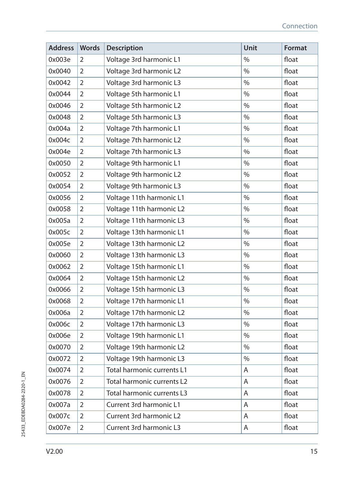| <b>Address</b> | Words          | <b>Description</b>         | Unit          | Format |
|----------------|----------------|----------------------------|---------------|--------|
| 0x003e         | 2              | Voltage 3rd harmonic L1    | $\frac{0}{0}$ | float  |
| 0x0040         | 2              | Voltage 3rd harmonic L2    | $\%$          | float  |
| 0x0042         | $\overline{2}$ | Voltage 3rd harmonic L3    | $\%$          | float  |
| 0x0044         | $\overline{2}$ | Voltage 5th harmonic L1    | $\%$          | float  |
| 0x0046         | 2              | Voltage 5th harmonic L2    | $\%$          | float  |
| 0x0048         | 2              | Voltage 5th harmonic L3    | $\%$          | float  |
| 0x004a         | $\overline{2}$ | Voltage 7th harmonic L1    | $\%$          | float  |
| 0x004c         | $\overline{2}$ | Voltage 7th harmonic L2    | $\%$          | float  |
| 0x004e         | 2              | Voltage 7th harmonic L3    | $\frac{0}{0}$ | float  |
| 0x0050         | 2              | Voltage 9th harmonic L1    | $\%$          | float  |
| 0x0052         | 2              | Voltage 9th harmonic L2    | $\%$          | float  |
| 0x0054         | 2              | Voltage 9th harmonic L3    | $\%$          | float  |
| 0x0056         | $\overline{2}$ | Voltage 11th harmonic L1   | $\%$          | float  |
| 0x0058         | 2              | Voltage 11th harmonic L2   | $\%$          | float  |
| 0x005a         | 2              | Voltage 11th harmonic L3   | $\%$          | float  |
| 0x005c         | 2              | Voltage 13th harmonic L1   | $\%$          | float  |
| 0x005e         | $\overline{2}$ | Voltage 13th harmonic L2   | $\%$          | float  |
| 0x0060         | $\overline{2}$ | Voltage 13th harmonic L3   | $\%$          | float  |
| 0x0062         | $\overline{2}$ | Voltage 15th harmonic L1   | $\%$          | float  |
| 0x0064         | 2              | Voltage 15th harmonic L2   | $\%$          | float  |
| 0x0066         | 2              | Voltage 15th harmonic L3   | $\%$          | float  |
| 0x0068         | 2              | Voltage 17th harmonic L1   | $\%$          | float  |
| 0x006a         | 2              | Voltage 17th harmonic L2   | $\%$          | float  |
| 0х006с         | $\overline{2}$ | Voltage 17th harmonic L3   | $\%$          | float  |
| 0x006e         | $\overline{2}$ | Voltage 19th harmonic L1   | $\%$          | float  |
| 0x0070         | 2              | Voltage 19th harmonic L2   | $\%$          | float  |
| 0x0072         | 2              | Voltage 19th harmonic L3   | $\%$          | float  |
| 0x0074         | 2              | Total harmonic currents L1 | Α             | float  |
| 0x0076         | $\overline{2}$ | Total harmonic currents L2 | A             | float  |
| 0x0078         | 2              | Total harmonic currents L3 | A             | float  |
| 0x007a         | 2              | Current 3rd harmonic L1    | Α             | float  |
| 0x007c         | 2              | Current 3rd harmonic L2    | Α             | float  |
| 0x007e         | $\overline{2}$ | Current 3rd harmonic L3    | Α             | float  |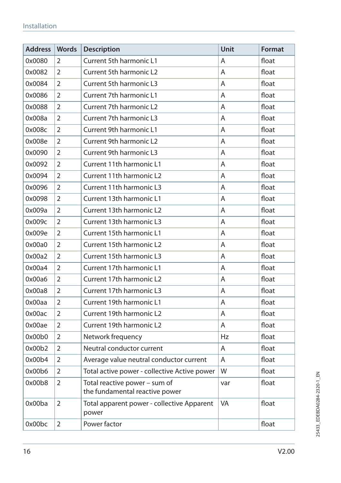#### Installation

| <b>Address</b> | <b>Words</b>   | <b>Description</b>                                              | Unit | <b>Format</b> |
|----------------|----------------|-----------------------------------------------------------------|------|---------------|
| 0x0080         | 2              | <b>Current 5th harmonic L1</b>                                  | A    | float         |
| 0x0082         | $\mathfrak{D}$ | Current 5th harmonic L2                                         | A    | float         |
| 0x0084         | 2              | <b>Current 5th harmonic L3</b>                                  | A    | float         |
| 0x0086         | 2              | Current 7th harmonic L1                                         | A    | float         |
| 0x0088         | $\overline{2}$ | Current 7th harmonic L2                                         | A    | float         |
| 0x008a         | $\overline{2}$ | Current 7th harmonic L3                                         | A    | float         |
| 0x008c         | $\overline{2}$ | Current 9th harmonic L1                                         | A    | float         |
| 0x008e         | $\mathfrak{D}$ | Current 9th harmonic L2                                         | A    | float         |
| 0x0090         | 2              | <b>Current 9th harmonic L3</b>                                  | A    | float         |
| 0x0092         | $\overline{2}$ | Current 11th harmonic L1                                        | A    | float         |
| 0x0094         | 2              | Current 11th harmonic L2                                        | A    | float         |
| 0x0096         | $\overline{2}$ | Current 11th harmonic L3                                        | A    | float         |
| 0x0098         | 2              | Current 13th harmonic L1                                        | A    | float         |
| 0x009a         | $\overline{2}$ | Current 13th harmonic L2                                        | A    | float         |
| 0x009c         | $\overline{2}$ | Current 13th harmonic L3                                        | A    | float         |
| 0x009e         | $\mathfrak{D}$ | Current 15th harmonic L1                                        | A    | float         |
| 0x00a0         | 2              | Current 15th harmonic L2                                        | Α    | float         |
| 0x00a2         | 2              | Current 15th harmonic L3                                        | A    | float         |
| 0x00a4         | $\mathcal{P}$  | Current 17th harmonic L1                                        | A    | float         |
| 0x00a6         | 2              | Current 17th harmonic L2                                        | A    | float         |
| 0x00a8         | $\overline{2}$ | Current 17th harmonic L3                                        | A    | float         |
| 0x00aa         | 2              | Current 19th harmonic L1                                        | A    | float         |
| 0x00ac         | $\overline{2}$ | Current 19th harmonic L2                                        | A    | float         |
| 0x00ae         | $\overline{2}$ | Current 19th harmonic L2                                        | A    | float         |
| 0x00b0         | $\overline{2}$ | Network frequency                                               | Hz   | float         |
| 0x00b2         | $\overline{2}$ | Neutral conductor current                                       | A    | float         |
| 0x00b4         | 2              | Average value neutral conductor current                         | A    | float         |
| 0x00b6         | 2              | Total active power - collective Active power                    | W    | float         |
| 0x00b8         | $\overline{2}$ | Total reactive power - sum of<br>the fundamental reactive power | var  | float         |
| 0x00ba         | $\mathfrak{D}$ | Total apparent power - collective Apparent<br>power             | VA   | float         |
| 0x00bc         | 2              | Power factor                                                    |      | float         |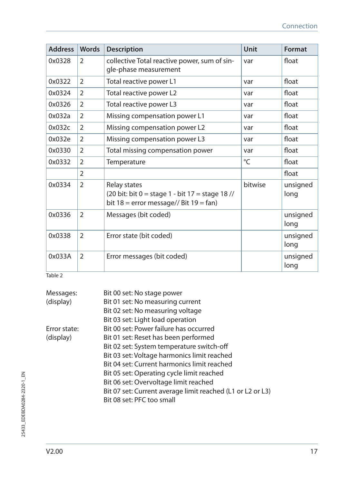| <b>Address</b> | <b>Words</b>   | <b>Description</b>                                                                                                                                        | Unit    | Format           |
|----------------|----------------|-----------------------------------------------------------------------------------------------------------------------------------------------------------|---------|------------------|
| 0x0328         | 2              | collective Total reactive power, sum of sin-<br>gle-phase measurement                                                                                     | var     | float            |
| 0x0322         | $\overline{2}$ | Total reactive power L1                                                                                                                                   | var     | float            |
| 0x0324         | $\overline{2}$ | Total reactive power L2                                                                                                                                   | var     | float            |
| 0x0326         | $\overline{2}$ | Total reactive power L3                                                                                                                                   | var     | float            |
| 0x032a         | $\overline{2}$ | Missing compensation power L1                                                                                                                             | var     | float            |
| 0x032c         | $\overline{2}$ | Missing compensation power L2                                                                                                                             | var     | float            |
| 0x032e         | $\overline{2}$ | Missing compensation power L3                                                                                                                             | var     | float            |
| 0x0330         | $\mathfrak{D}$ | Total missing compensation power                                                                                                                          | var     | float            |
| 0x0332         | $\overline{2}$ | Temperature                                                                                                                                               | °C      | float            |
|                | $\mathfrak{D}$ |                                                                                                                                                           |         | float            |
| 0x0334         | $\mathcal{P}$  | Relay states<br>$(20 \text{ bit: bit } 0 = \text{stage } 1 - \text{ bit } 17 = \text{stage } 18$ //<br>bit $18 =$ error message// Bit $19 = \text{fan}$ ) | bitwise | unsigned<br>long |
| 0x0336         | $\overline{2}$ | Messages (bit coded)                                                                                                                                      |         | unsigned<br>long |
| 0x0338         | $\overline{2}$ | Error state (bit coded)                                                                                                                                   |         | unsigned<br>long |
| 0x033A         | $\overline{2}$ | Error messages (bit coded)                                                                                                                                |         | unsigned<br>long |

Table 2

| Messages:    | Bit 00 set: No stage power                                 |
|--------------|------------------------------------------------------------|
| (display)    | Bit 01 set: No measuring current                           |
|              | Bit 02 set: No measuring voltage                           |
|              | Bit 03 set: Light load operation                           |
| Error state: | Bit 00 set: Power failure has occurred                     |
| (display)    | Bit 01 set: Reset has been performed                       |
|              | Bit 02 set: System temperature switch-off                  |
|              | Bit 03 set: Voltage harmonics limit reached                |
|              | Bit 04 set: Current harmonics limit reached                |
|              | Bit 05 set: Operating cycle limit reached                  |
|              | Bit 06 set: Overvoltage limit reached                      |
|              | Bit 07 set: Current average limit reached (L1 or L2 or L3) |
|              | Bit 08 set: PFC too small                                  |
|              |                                                            |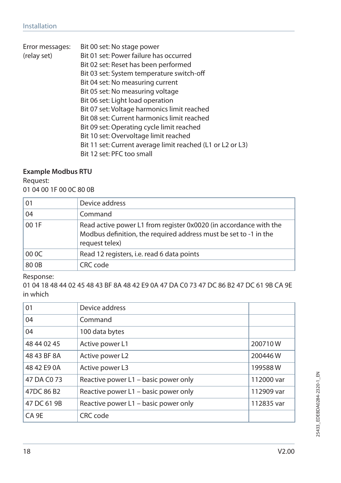| Error messages: | Bit 00 set: No stage power                                 |
|-----------------|------------------------------------------------------------|
| (relay set)     | Bit 01 set: Power failure has occurred                     |
|                 | Bit 02 set: Reset has been performed                       |
|                 | Bit 03 set: System temperature switch-off                  |
|                 | Bit 04 set: No measuring current                           |
|                 | Bit 05 set: No measuring voltage                           |
|                 | Bit 06 set: Light load operation                           |
|                 | Bit 07 set: Voltage harmonics limit reached                |
|                 | Bit 08 set: Current harmonics limit reached                |
|                 | Bit 09 set: Operating cycle limit reached                  |
|                 | Bit 10 set: Overvoltage limit reached                      |
|                 | Bit 11 set: Current average limit reached (L1 or L2 or L3) |
|                 | Bit 12 set: PFC too small                                  |
|                 |                                                            |

#### **Example Modbus RTU**

Request: 01 04 00 1F 00 0C 80 0B

| 01    | Device address                                                                                                                                          |
|-------|---------------------------------------------------------------------------------------------------------------------------------------------------------|
| 04    | Command                                                                                                                                                 |
| 00 1F | Read active power L1 from register 0x0020 (in accordance with the<br>Modbus definition, the required address must be set to -1 in the<br>request telex) |
| 00 OC | Read 12 registers, i.e. read 6 data points                                                                                                              |
| 80 OB | CRC code                                                                                                                                                |

Response:

01 04 18 48 44 02 45 48 43 BF 8A 48 42 E9 0A 47 DA C0 73 47 DC 86 B2 47 DC 61 9B CA 9E in which

| 01               | Device address                       |            |
|------------------|--------------------------------------|------------|
| 04               | Command                              |            |
| 04               | 100 data bytes                       |            |
| 48 44 02 45      | Active power L1                      | 200710W    |
| 48 43 BF 8A      | Active power L2                      | 200446W    |
| 48 42 E9 0A      | Active power L3                      | 199588W    |
| 47 DA C0 73      | Reactive power L1 - basic power only | 112000 var |
| 47DC 86 B2       | Reactive power L1 - basic power only | 112909 var |
| 47 DC 61 9B      | Reactive power L1 - basic power only | 112835 var |
| CA <sub>9E</sub> | CRC code                             |            |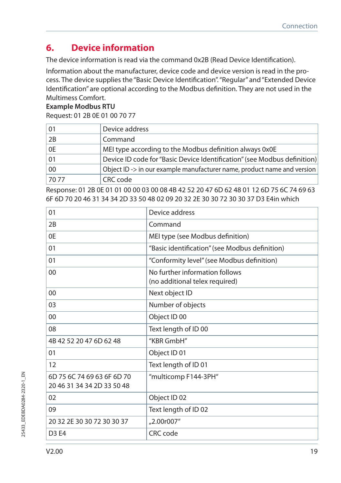## **6. Device information**

The device information is read via the command 0x2B (Read Device Identification).

Information about the manufacturer, device code and device version is read in the process. The device supplies the "Basic Device Identification". "Regular" and "Extended Device Identification" are optional according to the Modbus definition. They are not used in the Multimess Comfort.

#### **Example Modbus RTU**

Request: 01 2B 0E 01 00 70 77

| 01   | Device address                                                           |
|------|--------------------------------------------------------------------------|
| 2B   | Command                                                                  |
| 0E   | MEI type according to the Modbus definition always 0x0E                  |
| 01   | Device ID code for "Basic Device Identification" (see Modbus definition) |
| 00   | Object ID -> in our example manufacturer name, product name and version  |
| 7077 | CRC code                                                                 |

Response: 01 2B 0E 01 01 00 00 03 00 08 4B 42 52 20 47 6D 62 48 01 12 6D 75 6C 74 69 63 6F 6D 70 20 46 31 34 34 2D 33 50 48 02 09 20 32 2E 30 30 72 30 30 37 D3 E4in which

| 01                                                       | Device address                                                   |
|----------------------------------------------------------|------------------------------------------------------------------|
| 2B                                                       | Command                                                          |
| 0E                                                       | MEI type (see Modbus definition)                                 |
| 01                                                       | "Basic identification" (see Modbus definition)                   |
| 01                                                       | "Conformity level" (see Modbus definition)                       |
| 00                                                       | No further information follows<br>(no additional telex required) |
| 00                                                       | Next object ID                                                   |
| 03                                                       | Number of objects                                                |
| 00                                                       | Object ID 00                                                     |
| 08                                                       | Text length of ID 00                                             |
| 4B 42 52 20 47 6D 62 48                                  | "KBR GmbH"                                                       |
| 01                                                       | Object ID 01                                                     |
| 12                                                       | Text length of ID 01                                             |
| 6D 75 6C 74 69 63 6F 6D 70<br>20 46 31 34 34 2D 33 50 48 | "multicomp F144-3PH"                                             |
| 02                                                       | Object ID 02                                                     |
| 09                                                       | Text length of ID 02                                             |
| 20 32 2E 30 30 72 30 30 37                               | "2.00r007"                                                       |
| D <sub>3</sub> E <sub>4</sub>                            | CRC code                                                         |